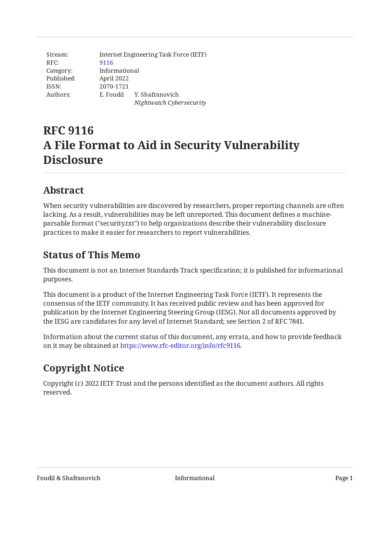Stream: RFC: Category: Published: ISSN: Authors: Internet Engineering Task Force (IETF) [9116](https://www.rfc-editor.org/rfc/rfc9116) Informational April 2022 2070-1721 E. Foudil Y. Shafranovich *Nightwatch Cybersecurity*

# **RFC 9116 A File Format to Aid in Security Vulnerability Disclosure**

## <span id="page-0-0"></span>**[Abstract](#page-0-0)**

When security vulnerabilities are discovered by researchers, proper reporting channels are often lacking. As a result, vulnerabilities may be left unreported. This document defines a machineparsable format ("security.txt") to help organizations describe their vulnerability disclosure practices to make it easier for researchers to report vulnerabilities.

## <span id="page-0-1"></span>**[Status of This Memo](#page-0-1)**

This document is not an Internet Standards Track specification; it is published for informational purposes.

This document is a product of the Internet Engineering Task Force (IETF). It represents the consensus of the IETF community. It has received public review and has been approved for publication by the Internet Engineering Steering Group (IESG). Not all documents approved by the IESG are candidates for any level of Internet Standard; see Section 2 of RFC 7841.

Information about the current status of this document, any errata, and how to provide feedback on it may be obtained at [https://www.rfc-editor.org/info/rfc9116.](https://www.rfc-editor.org/info/rfc9116)

## <span id="page-0-2"></span>**[Copyright Notice](#page-0-2)**

Copyright (c) 2022 IETF Trust and the persons identified as the document authors. All rights reserved.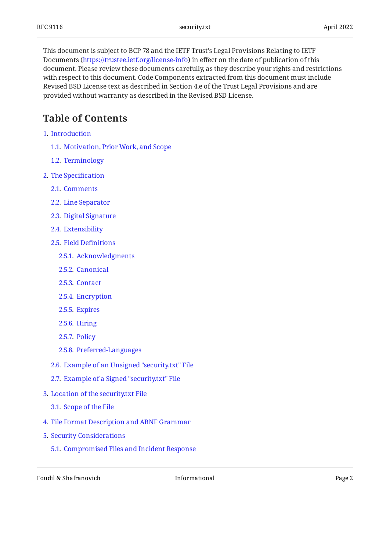This document is subject to BCP 78 and the IETF Trust's Legal Provisions Relating to IETF Documents (<https://trustee.ietf.org/license-info>) in effect on the date of publication of this document. Please review these documents carefully, as they describe your rights and restrictions with respect to this document. Code Components extracted from this document must include Revised BSD License text as described in Section 4.e of the Trust Legal Provisions and are provided without warranty as described in the Revised BSD License.

## <span id="page-1-0"></span>**[Table of Contents](#page-1-0)**

- [1](#page-2-0). [Introduction](#page-2-0)
	- [1.1.](#page-2-1) [Motivation, Prior Work, and Scope](#page-2-1)
	- [1.2.](#page-3-0) [Terminology](#page-3-0)
- [2](#page-3-1). [The Speci](#page-3-1)fication
	- [2.1.](#page-4-0) [Comments](#page-4-0)
	- [2.2.](#page-4-1) [Line Separator](#page-4-1)
	- [2.3.](#page-4-2) [Digital Signature](#page-4-2)
	- [2.4.](#page-4-3) [Extensibility](#page-4-3)
	- [2.5.](#page-5-0) [Field De](#page-5-0)finitions
		- [2.5.1](#page-5-1). [Acknowledgments](#page-5-1)
		- [2.5.2](#page-5-2). [Canonical](#page-5-2)
		- [2.5.3](#page-6-0). [Contact](#page-6-0)
		- [2.5.4](#page-6-1). [Encryption](#page-6-1)
		- [2.5.5](#page-7-0). [Expires](#page-7-0)
		- [2.5.6](#page-7-1). [Hiring](#page-7-1)
		- [2.5.7](#page-7-2). [Policy](#page-7-2)
		- [2.5.8](#page-7-3). [Preferred-Languages](#page-7-3)
	- [2.6.](#page-8-0) [Example of an Unsigned "security.txt" File](#page-8-0)
	- [2.7.](#page-8-1) [Example of a Signed "security.txt" File](#page-8-1)
- [3](#page-8-2). [Location of the security.txt File](#page-8-2)
	- [3.1.](#page-9-0) [Scope of the File](#page-9-0)
- [4](#page-9-1). [File Format Description and ABNF Grammar](#page-9-1)
- [5](#page-13-0). [Security Considerations](#page-13-0)
	- [5.1.](#page-13-1) [Compromised Files and Incident Response](#page-13-1)

Foudil & Shafranovich and Informational Informational Page 2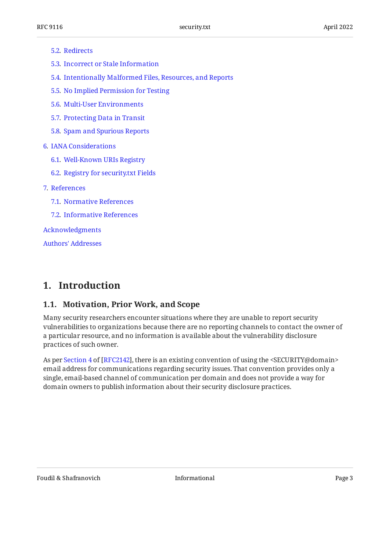#### [5.2.](#page-13-2) [Redirects](#page-13-2)

- [5.3.](#page-13-3) [Incorrect or Stale Information](#page-13-3)
- [5.4.](#page-14-0) [Intentionally Malformed Files, Resources, and Reports](#page-14-0)
- [5.5.](#page-14-1) [No Implied Permission for Testing](#page-14-1)
- [5.6.](#page-14-2) [Multi-User Environments](#page-14-2)
- [5.7.](#page-14-3) [Protecting Data in Transit](#page-14-3)
- [5.8.](#page-15-0) [Spam and Spurious Reports](#page-15-0)
- [6](#page-15-1). [IANA Considerations](#page-15-1)
	- [6.1.](#page-15-2) [Well-Known URIs Registry](#page-15-2)
	- [6.2.](#page-16-0) [Registry for security.txt Fields](#page-16-0)
- [7](#page-18-0). [References](#page-18-0)
	- [7.1.](#page-18-1) [Normative References](#page-18-1)
	- [7.2.](#page-19-0) [Informative References](#page-19-0)

[Acknowledgments](#page-20-0)

[Authors' Addresses](#page-20-1)

## <span id="page-2-1"></span><span id="page-2-0"></span>**[1. Introduction](#page-2-0)**

#### **[1.1. Motivation, Prior Work, and Scope](#page-2-1)**

Many security researchers encounter situations where they are unable to report security vulnerabilities to organizations because there are no reporting channels to contact the owner of a particular resource, and no information is available about the vulnerability disclosure practices of such owner.

Asper Section 4 of [RFC2142], there is an existing convention of using the <SECURITY@domain> email address for communications regarding security issues. That convention provides only a single, email-based channel of communication per domain and does not provide a way for domain owners to publish information about their security disclosure practices.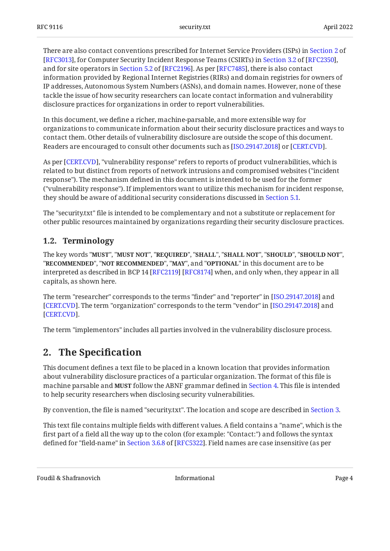There are also contact conventions prescribed for Internet Service Providers (ISPs) in [Section 2](https://www.rfc-editor.org/rfc/rfc3013#section-2) of [RFC3013],for Computer Security Incident Response Teams (CSIRTs) in Section 3.2 of [RFC2350], andfor site operators in Section 5.2 of [RFC2196]. As per [RFC7485], there is also contact information provided by Regional Internet Registries (RIRs) and domain registries for owners of IP addresses, Autonomous System Numbers (ASNs), and domain names. However, none of these tackle the issue of how security researchers can locate contact information and vulnerability disclosure practices for organizations in order to report vulnerabilities.

In this document, we define a richer, machine-parsable, and more extensible way for organizations to communicate information about their security disclosure practices and ways to contact them. Other details of vulnerability disclosure are outside the scope of this document. Readers are encouraged to consult other documents such as [ISO.29147.2018] or [CERT.CVD].

As per [CERT.CVD], "vulnerability response" refers to reports of product vulnerabilities, which is related to but distinct from reports of network intrusions and compromised websites ("incident response"). The mechanism defined in this document is intended to be used for the former ("vulnerability response"). If implementors want to utilize this mechanism for incident response, they should be aware of additional security considerations discussed in [Section 5.1.](#page-13-1)

The "security.txt" file is intended to be complementary and not a substitute or replacement for other public resources maintained by organizations regarding their security disclosure practices.

### <span id="page-3-0"></span>**[1.2. Terminology](#page-3-0)**

The key words "MUST", "MUST NOT", "REQUIRED", "SHALL", "SHALL NOT", "SHOULD", "SHOULD NOT", "**RECOMMENDED", "NOT RECOMMENDED", "MAY",** and "OPTIONAL" in this document are to be interpreted as described in BCP 14 [RFC2119] [RFC8174] when, and only when, they appear in all capitals, as shown here.

The term "researcher" corresponds to the terms "finder" and "reporter" in [[ISO.29147.2018\]](#page-19-1) and [[CERT.CVD\]](#page-19-2). The term "organization" corresponds to the term "vendor" in [ISO.29147.2018] and . [[CERT.CVD\]](#page-19-2)

<span id="page-3-1"></span>The term "implementors" includes all parties involved in the vulnerability disclosure process.

## **[2. The Speci](#page-3-1)fication**

This document defines a text file to be placed in a known location that provides information about vulnerability disclosure practices of a particular organization. The format of this file is machine parsable and **MUST** follow the ABNF grammar defined in [Section 4.](#page-9-1) This file is intended to help security researchers when disclosing security vulnerabilities.

By convention, the file is named "security.txt". The location and scope are described in [Section 3.](#page-8-2)

This text file contains multiple fields with different values. A field contains a "name", which is the first part of a field all the way up to the colon (for example: "Contact:") and follows the syntax definedfor "field-name" in Section 3.6.8 of [RFC5322]. Field names are case insensitive (as per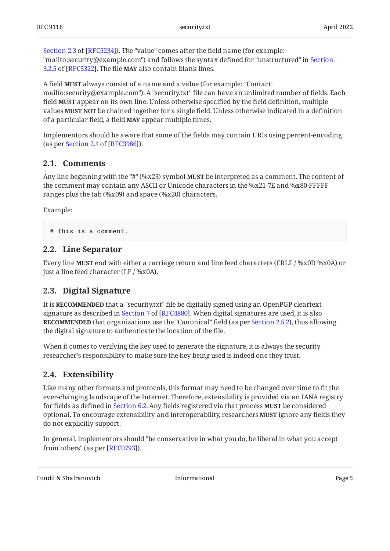[Section 2.3](https://www.rfc-editor.org/rfc/rfc5234#section-2.3) of [\[RFC5234\]](#page-18-5)). The "value" comes after the field name (for example: "mailto:security@example.com") and follows the syntax defined for "unstructured" in [Section](https://www.rfc-editor.org/rfc/rfc5322#section-3.2.5) [3.2.5](https://www.rfc-editor.org/rfc/rfc5322#section-3.2.5) of [\[RFC5322\]](#page-18-4). The file **MAY** also contain blank lines.

A field **MUST** always consist of a name and a value (for example: "Contact: mailto:security@example.com"). A "security.txt" file can have an unlimited number of fields. Each field **MUST** appear on its own line. Unless otherwise specified by the field definition, multiple values be chained together for a single field. Unless otherwise indicated in a definition **MUST NOT** of a particular field, a field **MAY** appear multiple times.

Implementors should be aware that some of the fields may contain URIs using percent-encoding (asper Section 2.1 of [RFC3986]).

#### <span id="page-4-0"></span>**[2.1. Comments](#page-4-0)**

Any line beginning with the "#" (%x23) symbol **MUST** be interpreted as a comment. The content of the comment may contain any ASCII or Unicode characters in the %x21-7E and %x80-FFFFF ranges plus the tab (%x09) and space (%x20) characters.

Example:

```
# This is a comment.
```
#### **[2.2. Line Separator](#page-4-1)**

Every line **MUST** end with either a carriage return and line feed characters (CRLF / %x0D %x0A) or just a line feed character (LF / %x0A).

#### <span id="page-4-2"></span>**[2.3. Digital Signature](#page-4-2)**

It is **RECOMMENDED** that a "security.txt" file be digitally signed using an OpenPGP cleartext signatureas described in Section 7 of [RFC4880]. When digital signatures are used, it is also  $\,$ **RECOMMENDED** that organizations use the "Canonical" field (as per [Section 2.5.2\)](#page-5-2), thus allowing the digital signature to authenticate the location of the file.

When it comes to verifying the key used to generate the signature, it is always the security researcher's responsibility to make sure the key being used is indeed one they trust.

#### <span id="page-4-3"></span>**[2.4. Extensibility](#page-4-3)**

Like many other formats and protocols, this format may need to be changed over time to fit the ever-changing landscape of the Internet. Therefore, extensibility is provided via an IANA registry for fields as defined in [Section 6.2](#page-16-0). Any fields registered via that process **MUST** be considered optional. To encourage extensibility and interoperability, researchers **MUST** ignore any fields they do not explicitly support.

In general, implementors should "be conservative in what you do, be liberal in what you accept from others" (as per [RFC0793]).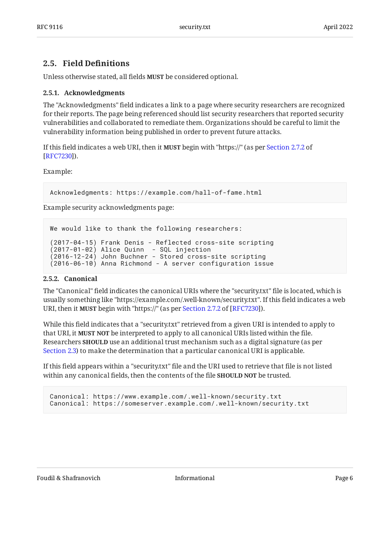### <span id="page-5-0"></span>**[2.5. Field De](#page-5-0)finitions**

<span id="page-5-1"></span>Unless otherwise stated, all fields **MUST** be considered optional.

#### **[2.5.1. Acknowledgments](#page-5-1)**

The "Acknowledgments" field indicates a link to a page where security researchers are recognized for their reports. The page being referenced should list security researchers that reported security vulnerabilities and collaborated to remediate them. Organizations should be careful to limit the vulnerability information being published in order to prevent future attacks.

If this field indicates a web URI, then it **MUST** begin with "https://" (as per [Section 2.7.2](https://www.rfc-editor.org/rfc/rfc7230#section-2.7.2) of ). [[RFC7230\]](#page-19-5)

Example:

Acknowledgments: https://example.com/hall-of-fame.html

Example security acknowledgments page:

```
We would like to thank the following researchers:
(2017-04-15) Frank Denis - Reflected cross-site scripting
(2017-01-02) Alice Quinn - SQL injection
(2016-12-24) John Buchner - Stored cross-site scripting
(2016-06-10) Anna Richmond - A server configuration issue
```
#### <span id="page-5-2"></span>**[2.5.2. Canonical](#page-5-2)**

The "Canonical" field indicates the canonical URIs where the "security.txt" file is located, which is usually something like "https://example.com/.well-known/security.txt". If this field indicates a web URI,then it **MUST** begin with "https://" (as per Section 2.7.2 of [RFC7230]).

While this field indicates that a "security.txt" retrieved from a given URI is intended to apply to that URI, it **MUST NOT** be interpreted to apply to all canonical URIs listed within the file. Researchers **SHOULD** use an additional trust mechanism such as a digital signature (as per [Section 2.3](#page-4-2)) to make the determination that a particular canonical URI is applicable.

If this field appears within a "security.txt" file and the URI used to retrieve that file is not listed within any canonical fields, then the contents of the file **SHOULD NOT** be trusted.

Canonical: https://www.example.com/.well-known/security.txt Canonical: https://someserver.example.com/.well-known/security.txt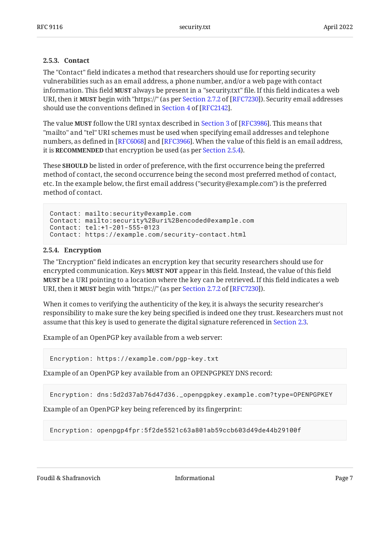#### <span id="page-6-0"></span>**[2.5.3. Contact](#page-6-0)**

The "Contact" field indicates a method that researchers should use for reporting security vulnerabilities such as an email address, a phone number, and/or a web page with contact information. This field **MUST** always be present in a "security.txt" file. If this field indicates a web URI,then it **MUST** begin with "https://" (as per Section 2.7.2 of [RFC7230]). Security email addresses shoulduse the conventions defined in Section 4 of [RFC2142].

Thevalue **MUST** follow the URI syntax described in Section 3 of [RFC3986]. This means that "mailto" and "tel" URI schemes must be used when specifying email addresses and telephone numbers, as defined in [RFC6068] and [RFC3966]. When the value of this field is an email address, it is **RECOMMENDED** that encryption be used (as per [Section 2.5.4\)](#page-6-1).

These **SHOULD** be listed in order of preference, with the first occurrence being the preferred method of contact, the second occurrence being the second most preferred method of contact, etc. In the example below, the first email address ("security@example.com") is the preferred method of contact.

```
Contact: mailto:security@example.com
Contact: mailto:security%2Buri%2Bencoded@example.com
Contact: tel:+1-201-555-0123
Contact: https://example.com/security-contact.html
```
#### <span id="page-6-1"></span>**[2.5.4. Encryption](#page-6-1)**

The "Encryption" field indicates an encryption key that security researchers should use for encrypted communication. Keys **MUST NOT** appear in this field. Instead, the value of this field **MUST** be a URI pointing to a location where the key can be retrieved. If this field indicates a web URI,then it **MUST** begin with "https://" (as per Section 2.7.2 of [RFC7230]).

When it comes to verifying the authenticity of the key, it is always the security researcher's responsibility to make sure the key being specified is indeed one they trust. Researchers must not assume that this key is used to generate the digital signature referenced in [Section 2.3.](#page-4-2)

Example of an OpenPGP key available from a web server:

Encryption: https://example.com/pgp-key.txt

Example of an OpenPGP key available from an OPENPGPKEY DNS record:

Encryption: dns:5d2d37ab76d47d36.\_openpgpkey.example.com?type=OPENPGPKEY

Example of an OpenPGP key being referenced by its fingerprint:

Encryption: openpgp4fpr:5f2de5521c63a801ab59ccb603d49de44b29100f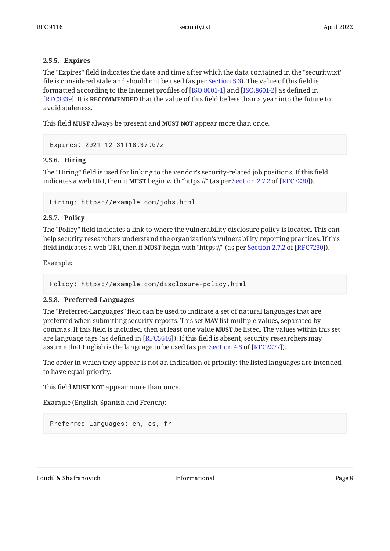#### <span id="page-7-0"></span>**[2.5.5. Expires](#page-7-0)**

The "Expires" field indicates the date and time after which the data contained in the "security.txt" file is considered stale and should not be used (as per [Section 5.3](#page-13-3)). The value of this field is formatted according to the Internet profiles of [ISO.8601-1] and [ISO.8601-2] as defined in  $\,$ **[[RFC3339\]](#page-18-9). It is RECOMMENDED** that the value of this field be less than a year into the future to avoid staleness.

This field MUST always be present and MUST NOT appear more than once.

<span id="page-7-1"></span>Expires: 2021-12-31T18:37:07z

#### **[2.5.6. Hiring](#page-7-1)**

The "Hiring" field is used for linking to the vendor's security-related job positions. If this field indicates a web URI, then it **MUST** begin with "https://" (as per [Section 2.7.2](https://www.rfc-editor.org/rfc/rfc7230#section-2.7.2) of [\[RFC7230](#page-19-5)]).

<span id="page-7-2"></span>Hiring: https://example.com/jobs.html

#### **[2.5.7. Policy](#page-7-2)**

The "Policy" field indicates a link to where the vulnerability disclosure policy is located. This can help security researchers understand the organization's vulnerability reporting practices. If this fieldindicates a web URI, then it **MUST** begin with "https://" (as per Section 2.7.2 of [RFC7230]).

Example:

```
Policy: https://example.com/disclosure-policy.html
```
#### **[2.5.8. Preferred-Languages](#page-7-3)**

The "Preferred-Languages" field can be used to indicate a set of natural languages that are preferred when submitting security reports. This set **MAY** list multiple values, separated by commas. If this field is included, then at least one value be listed. The values within this set **MUST** are language tags (as defined in [RFC5646]). If this field is absent, security researchers may assumethat English is the language to be used (as  $per$  Section 4.5 of [RFC2277]).

The order in which they appear is not an indication of priority; the listed languages are intended to have equal priority.

This field **MUST NOT** appear more than once.

Example (English, Spanish and French):

```
Preferred-Languages: en, es, fr
```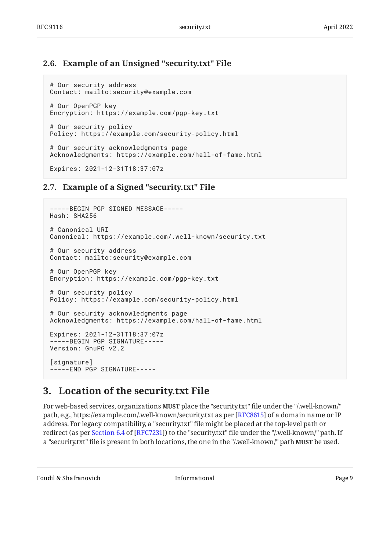### <span id="page-8-0"></span>**[2.6. Example of an Unsigned "security.txt" File](#page-8-0)**

```
# Our security address
Contact: mailto:security@example.com
# Our OpenPGP key
Encryption: https://example.com/pgp-key.txt
# Our security policy
Policy: https://example.com/security-policy.html
# Our security acknowledgments page
Acknowledgments: https://example.com/hall-of-fame.html
Expires: 2021-12-31T18:37:07z
```
### <span id="page-8-1"></span>**[2.7. Example of a Signed "security.txt" File](#page-8-1)**

```
-----BEGIN PGP SIGNED MESSAGE-----
Hash: SHA256
# Canonical URI
Canonical: https://example.com/.well-known/security.txt
# Our security address
Contact: mailto:security@example.com
# Our OpenPGP key
Encryption: https://example.com/pgp-key.txt
# Our security policy
Policy: https://example.com/security-policy.html
# Our security acknowledgments page
Acknowledgments: https://example.com/hall-of-fame.html
Expires: 2021-12-31T18:37:07z
-----BEGIN PGP SIGNATURE-----
Version: GnuPG v2.2
[signature]
-----END PGP SIGNATURE-----
```
## <span id="page-8-2"></span>**[3. Location of the security.txt File](#page-8-2)**

For web-based services, organizations **MUST** place the "security.txt" file under the "/.well-known/" path, e.g., https://example.com/.well-known/security.txt as per [RFC8615] of a domain name or IP address. For legacy compatibility, a "security.txt" file might be placed at the top-level path or redirect(as per Section 6.4 of [RFC7231]) to the "security.txt" file under the "/.well-known/" path. If a "security.txt" file is present in both locations, the one in the "/.well-known/" path **MUST** be used.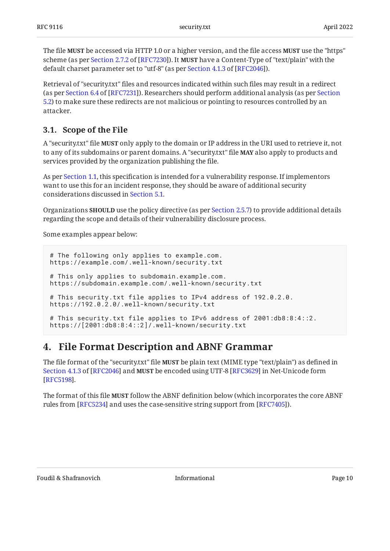$\boldsymbol{\Gamma}$ he file **MUST** be accessed via HTTP 1.0 or a higher version, and the file access **MUST** use the "https" scheme(as per Section 2.7.2 of [RFC7230]). It **MUST** have a Content-Type of "text/plain" with the defaultcharset parameter set to "utf-8" (as per <u>Section 4.1.3 of [RFC2046]</u>).

Retrieval of "security.txt" files and resources indicated within such files may result in a redirect (asper [Section](#page-13-2) 6.4 of [RFC7231]). Researchers should perform additional analysis (as per Section [5.2\)](#page-13-2) to make sure these redirects are not malicious or pointing to resources controlled by an attacker.

### <span id="page-9-0"></span>**[3.1. Scope of the File](#page-9-0)**

A "security.txt" file **MUST** only apply to the domain or IP address in the URI used to retrieve it, not to any of its subdomains or parent domains. A "security.txt" file **MAY** also apply to products and services provided by the organization publishing the file.

As per [Section 1.1](#page-2-1), this specification is intended for a vulnerability response. If implementors want to use this for an incident response, they should be aware of additional security considerations discussed in [Section 5.1.](#page-13-1)

Organizations **SHOULD** use the policy directive (as per [Section 2.5.7\)](#page-7-2) to provide additional details regarding the scope and details of their vulnerability disclosure process.

Some examples appear below:

```
# The following only applies to example.com.
https://example.com/.well-known/security.txt
# This only applies to subdomain.example.com.
https://subdomain.example.com/.well-known/security.txt
# This security.txt file applies to IPv4 address of 192.0.2.0.
https://192.0.2.0/.well-known/security.txt
# This security.txt file applies to IPv6 address of 2001:db8:8:4::2.
https://[2001:db8:8:4::2]/.well-known/security.txt
```
## <span id="page-9-1"></span>**[4. File Format Description and ABNF Grammar](#page-9-1)**

The file format of the "security.txt" file **MUST** be plain text (MIME type "text/plain") as defined in [Section 4.1.3](https://www.rfc-editor.org/rfc/rfc2046#section-4.1.3) of [[RFC2046\]](#page-18-12) and **MUST** be encoded using UTF-8 [RFC3629] in Net-Unicode form . [[RFC5198\]](#page-18-14)

The format of this file **MUST** follow the ABNF definition below (which incorporates the core ABNF rules from [RFC5234] and uses the case-sensitive string support from [RFC7405]).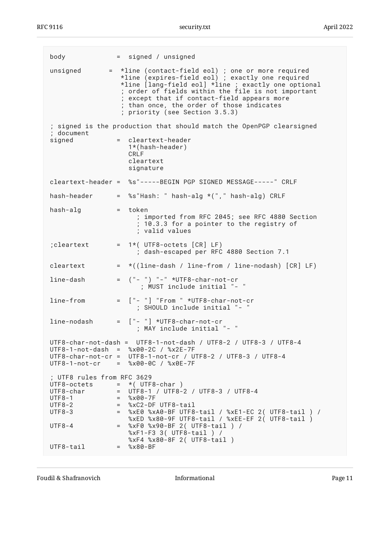RFC 9116 security.txt April 2022

| body                                                                                                                                  |                          | = signed / unsigned                                                                                                                                                                                                                                                                                                                               |
|---------------------------------------------------------------------------------------------------------------------------------------|--------------------------|---------------------------------------------------------------------------------------------------------------------------------------------------------------------------------------------------------------------------------------------------------------------------------------------------------------------------------------------------|
| unsigned                                                                                                                              |                          | = *line (contact-field eol) ; one or more required<br>*line (expires-field eol) ; exactly one required<br>*line [lang-field eol] *line ; exactly one optional<br>; order of fields within the file is not important<br>; except that if contact-field appears more<br>; than once, the order of those indicates<br>; priority (see Section 3.5.3) |
|                                                                                                                                       |                          | ; signed is the production that should match the OpenPGP clearsigned                                                                                                                                                                                                                                                                              |
| ; document<br>signed                                                                                                                  |                          | = cleartext-header<br>$1*(hash-header)$<br>CRI F<br>cleartext<br>signature                                                                                                                                                                                                                                                                        |
|                                                                                                                                       |                          | cleartext-header = %s"-----BEGIN PGP SIGNED MESSAGE-----" CRLF                                                                                                                                                                                                                                                                                    |
| hash-header                                                                                                                           |                          | = %s"Hash: " hash-alg *("," hash-alg) CRLF                                                                                                                                                                                                                                                                                                        |
| hash-alg                                                                                                                              |                          | $=$ token<br>; imported from RFC 2045; see RFC 4880 Section<br>; 10.3.3 for a pointer to the registry of<br>; valid values                                                                                                                                                                                                                        |
| ; cleartext                                                                                                                           |                          | $= 1*(UTF8-octets [CR] LF)$<br>; dash-escaped per RFC 4880 Section 7.1                                                                                                                                                                                                                                                                            |
| cleartext                                                                                                                             | $=$                      | $*($ (line-dash / line-from / line-nodash) [CR] LF)                                                                                                                                                                                                                                                                                               |
| line-dash                                                                                                                             |                          | $=$ $(" - ") " -" * UTF8-char-not-cr$<br>; MUST include initial "- "                                                                                                                                                                                                                                                                              |
| line-from                                                                                                                             |                          | = ["- "] "From " *UTF8-char-not-cr<br>; SHOULD include initial "- "                                                                                                                                                                                                                                                                               |
| line-nodash                                                                                                                           |                          | = ["- "] *UTF8-char-not-cr<br>; MAY include initial "- "                                                                                                                                                                                                                                                                                          |
|                                                                                                                                       |                          | UTF8-char-not-dash = UTF8-1-not-dash / UTF8-2 / UTF8-3 / UTF8-4<br>$UTF8-1-not-dash = %x00-2C / %x2E-7F$<br>UTF8-char-not-cr = UTF8-1-not-cr / UTF8-2 / UTF8-3 / UTF8-4<br>$UTF8-1-not-cr = %x00-0C / %x0E-7F$                                                                                                                                    |
| ; UTF8 rules from RFC 3629<br>UTF8-octets = $*($ UTF8-char)<br>UTF8-char<br>$UTF8-1$<br>$UTF8-2$<br>$UTF8-3$<br>$UTF8-4$<br>UTF8-tail | $=$<br>$=$<br>$=$<br>$=$ | = UTF8-1 / UTF8-2 / UTF8-3 / UTF8-4<br>$= %x00-7F$<br>%xC2-DF UTF8-tail<br>%xE0 %xA0-BF UTF8-tail / %xE1-EC 2( UTF8-tail ) /<br>%xED %x80-9F UTF8-tail / %xEE-EF 2( UTF8-tail )<br>%xF0 %x90-BF 2( UTF8-tail ) /<br>%xF1-F3 3( UTF8-tail ) /<br>%xF4 %x80-8F 2( UTF8-tail )<br>$\frac{8}{8}$ x 80 - BF                                            |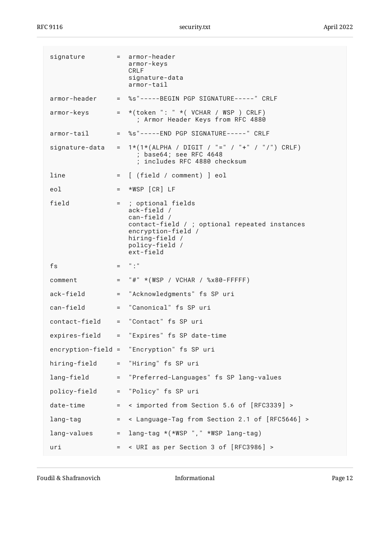| signature      |         | = armor-header<br>armor-keys<br>CRLF<br>signature-data<br>armor-tail                                                                                                        |
|----------------|---------|-----------------------------------------------------------------------------------------------------------------------------------------------------------------------------|
| armor-header   |         | = %s"-----BEGIN PGP SIGNATURE-----" CRLF                                                                                                                                    |
| armor-keys     | $=$ $-$ | *(token ": " *( VCHAR / WSP ) CRLF)<br>; Armor Header Keys from RFC 4880                                                                                                    |
| armor-tail     |         | = %s"-----END PGP SIGNATURE-----" CRLF                                                                                                                                      |
| signature-data |         | = $1*(1*(ALPHA / DIGIT / "=" / "+" / "/") CRLF)$<br>; base64; see RFC 4648<br>; includes RFC 4880 checksum                                                                  |
| line           | $=$     | [ (field / comment) ] eol                                                                                                                                                   |
| eol            | $=$ $-$ | *WSP [CR] LF                                                                                                                                                                |
| field          |         | = ; optional fields<br>$ack-field$ /<br>can-field /<br>contact-field / ; optional repeated instances<br>encryption-field /<br>hiring-field /<br>policy-field /<br>ext-field |
| fs             |         | $=$ $\frac{1}{2}$ $\frac{1}{2}$ $\frac{1}{2}$                                                                                                                               |
| comment        | $=$     | "#" *(WSP / VCHAR / %x80-FFFFFF)                                                                                                                                            |
| ack-field      | $=$     | "Acknowledgments" fs SP uri                                                                                                                                                 |
| can-field      | $=$     | "Canonical" fs SP uri                                                                                                                                                       |
| contact-field  |         | = "Contact" fs SP uri                                                                                                                                                       |
| expires-field  |         | = "Expires" fs SP date-time                                                                                                                                                 |
|                |         | encryption-field = "Encryption" fs SP uri                                                                                                                                   |
| hiring-field   | $=$     | "Hiring" fs SP uri                                                                                                                                                          |
| lang-field     | $=$     | "Preferred-Languages" fs SP lang-values                                                                                                                                     |
| policy-field   | $=$     | "Policy" fs SP uri                                                                                                                                                          |
| date-time      | $=$     | < imported from Section 5.6 of [RFC3339] >                                                                                                                                  |
| lang-tag       | $=$     | < Language-Tag from Section 2.1 of [RFC5646] >                                                                                                                              |
|                |         |                                                                                                                                                                             |
| lang-values    | $=$     | lang-tag $*(*WSP "," *WSP long-tag)$                                                                                                                                        |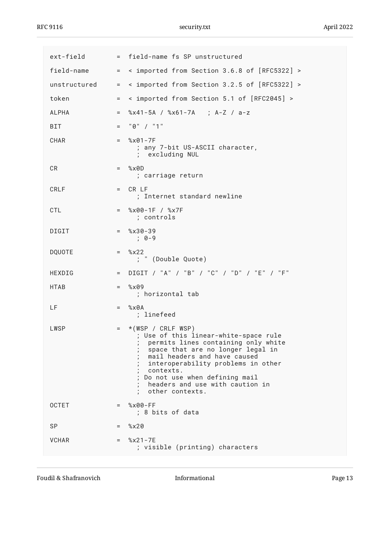| ext-field     |              | = field-name fs SP unstructured                                                                                                                                                                                                                                                                                      |
|---------------|--------------|----------------------------------------------------------------------------------------------------------------------------------------------------------------------------------------------------------------------------------------------------------------------------------------------------------------------|
| field-name    | $=$          | < imported from Section 3.6.8 of [RFC5322] >                                                                                                                                                                                                                                                                         |
| unstructured  | $=$          | < imported from Section 3.2.5 of [RFC5322] >                                                                                                                                                                                                                                                                         |
| token         | $=$          | < imported from Section 5.1 of [RFC2045] >                                                                                                                                                                                                                                                                           |
| <b>ALPHA</b>  | $=$          | %x41-5A / %x61-7A ; A-Z / a-z                                                                                                                                                                                                                                                                                        |
| BIT           | $=$          | "0" / "1"                                                                                                                                                                                                                                                                                                            |
| CHAR          | $=$ $\qquad$ | $%x01 - 7F$<br>; any 7-bit US-ASCII character,<br>; excluding NUL                                                                                                                                                                                                                                                    |
| CR            | $=$ $-$      | %x0D<br>; carriage return                                                                                                                                                                                                                                                                                            |
| CRLF          | $=$ $\qquad$ | CR LF<br>; Internet standard newline                                                                                                                                                                                                                                                                                 |
| CTL           | $=$ $-$      | %x00-1F / %x7F<br>; controls                                                                                                                                                                                                                                                                                         |
| <b>DIGIT</b>  | $=$ $-$      | $\frac{8x30-39}{x}$<br>$: 0-9$                                                                                                                                                                                                                                                                                       |
| <b>DQUOTE</b> | $=$          | $\frac{8}{2}$<br>; " (Double Quote)                                                                                                                                                                                                                                                                                  |
| HEXDIG        | $=$          | DIGIT / "A" / "B" / "C" / "D" / "E" / "F"                                                                                                                                                                                                                                                                            |
| <b>HTAB</b>   | $=$ $-$      | %x09<br>; horizontal tab                                                                                                                                                                                                                                                                                             |
| LF            | $=$ $-$      | %x0A<br>; linefeed                                                                                                                                                                                                                                                                                                   |
| LWSP          | $=$          | $*(WSP / CRLF WSP)$<br>; Use of this linear-white-space rule<br>; permits lines containing only white<br>space that are no longer legal in<br>mail headers and have caused<br>interoperability problems in other<br>contexts.<br>Do not use when defining mail<br>headers and use with caution in<br>other contexts. |
| <b>OCTET</b>  | $=$          | $% \times 00-FF$<br>; 8 bits of data                                                                                                                                                                                                                                                                                 |
| <b>SP</b>     | $=$          | $\frac{8}{2}$                                                                                                                                                                                                                                                                                                        |
| <b>VCHAR</b>  | $=$          | $\frac{8}{2}$ × 21 - 7E<br>; visible (printing) characters                                                                                                                                                                                                                                                           |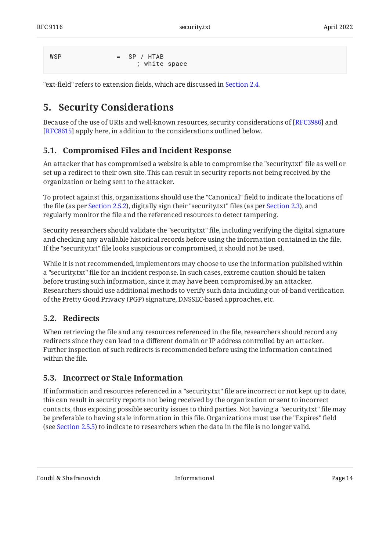```
WSP = SP / HTAB
                ; white space
```
<span id="page-13-0"></span>"ext-field" refers to extension fields, which are discussed in [Section 2.4](#page-4-3).

## **[5. Security Considerations](#page-13-0)**

Because of the use of URIs and well-known resources, security considerations of [RFC3986] and [[RFC8615\]](#page-19-9) apply here, in addition to the considerations outlined below.

### <span id="page-13-1"></span>**[5.1. Compromised Files and Incident Response](#page-13-1)**

An attacker that has compromised a website is able to compromise the "security.txt" file as well or set up a redirect to their own site. This can result in security reports not being received by the organization or being sent to the attacker.

To protect against this, organizations should use the "Canonical" field to indicate the locations of the file (as per [Section 2.5.2\)](#page-5-2), digitally sign their "security.txt" files (as per [Section 2.3](#page-4-2)), and regularly monitor the file and the referenced resources to detect tampering.

Security researchers should validate the "security.txt" file, including verifying the digital signature and checking any available historical records before using the information contained in the file. If the "security.txt" file looks suspicious or compromised, it should not be used.

While it is not recommended, implementors may choose to use the information published within a "security.txt" file for an incident response. In such cases, extreme caution should be taken before trusting such information, since it may have been compromised by an attacker. Researchers should use additional methods to verify such data including out-of-band verification of the Pretty Good Privacy (PGP) signature, DNSSEC-based approaches, etc.

#### <span id="page-13-2"></span>**[5.2. Redirects](#page-13-2)**

When retrieving the file and any resources referenced in the file, researchers should record any redirects since they can lead to a different domain or IP address controlled by an attacker. Further inspection of such redirects is recommended before using the information contained within the file.

### <span id="page-13-3"></span>**[5.3. Incorrect or Stale Information](#page-13-3)**

If information and resources referenced in a "security.txt" file are incorrect or not kept up to date, this can result in security reports not being received by the organization or sent to incorrect contacts, thus exposing possible security issues to third parties. Not having a "security.txt" file may be preferable to having stale information in this file. Organizations must use the "Expires" field (see [Section 2.5.5\)](#page-7-0) to indicate to researchers when the data in the file is no longer valid.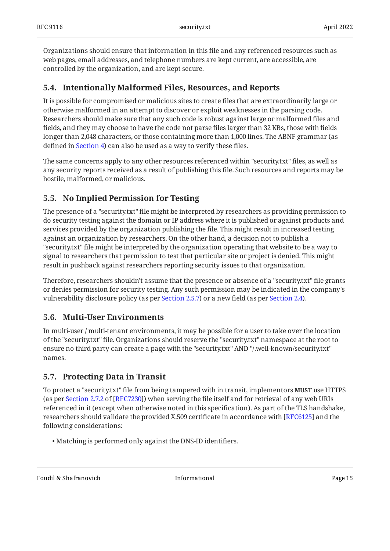Organizations should ensure that information in this file and any referenced resources such as web pages, email addresses, and telephone numbers are kept current, are accessible, are controlled by the organization, and are kept secure.

### <span id="page-14-0"></span>**[5.4. Intentionally Malformed Files, Resources, and Reports](#page-14-0)**

It is possible for compromised or malicious sites to create files that are extraordinarily large or otherwise malformed in an attempt to discover or exploit weaknesses in the parsing code. Researchers should make sure that any such code is robust against large or malformed files and fields, and they may choose to have the code not parse files larger than 32 KBs, those with fields longer than 2,048 characters, or those containing more than 1,000 lines. The ABNF grammar (as defined in [Section 4\)](#page-9-1) can also be used as a way to verify these files.

The same concerns apply to any other resources referenced within "security.txt" files, as well as any security reports received as a result of publishing this file. Such resources and reports may be hostile, malformed, or malicious.

### <span id="page-14-1"></span>**[5.5. No Implied Permission for Testing](#page-14-1)**

The presence of a "security.txt" file might be interpreted by researchers as providing permission to do security testing against the domain or IP address where it is published or against products and services provided by the organization publishing the file. This might result in increased testing against an organization by researchers. On the other hand, a decision not to publish a "security.txt" file might be interpreted by the organization operating that website to be a way to signal to researchers that permission to test that particular site or project is denied. This might result in pushback against researchers reporting security issues to that organization.

Therefore, researchers shouldn't assume that the presence or absence of a "security.txt" file grants or denies permission for security testing. Any such permission may be indicated in the company's vulnerability disclosure policy (as per [Section 2.5.7\)](#page-7-2) or a new field (as per [Section 2.4\)](#page-4-3).

#### <span id="page-14-2"></span>**[5.6. Multi-User Environments](#page-14-2)**

In multi-user / multi-tenant environments, it may be possible for a user to take over the location of the "security.txt" file. Organizations should reserve the "security.txt" namespace at the root to ensure no third party can create a page with the "security.txt" AND "/.well-known/security.txt" names.

#### <span id="page-14-3"></span>**[5.7. Protecting Data in Transit](#page-14-3)**

To protect a "security.txt" file from being tampered with in transit, implementors **MUST** use HTTPS (asper Section 2.7.2 of [RFC7230]) when serving the file itself and for retrieval of any web URIs referenced in it (except when otherwise noted in this specification). As part of the TLS handshake, researchers should validate the provided X.509 certificate in accordance with [\[RFC6125](#page-19-12)] and the following considerations:

Matching is performed only against the DNS-ID identifiers. •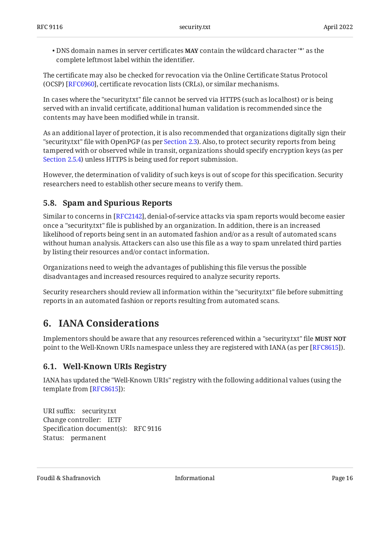• DNS domain names in server certificates **MAY** contain the wildcard character '\*' as the complete leftmost label within the identifier.

The certificate may also be checked for revocation via the Online Certificate Status Protocol (OCSP) [RFC6960], certificate revocation lists (CRLs), or similar mechanisms.

In cases where the "security.txt" file cannot be served via HTTPS (such as localhost) or is being served with an invalid certificate, additional human validation is recommended since the contents may have been modified while in transit.

As an additional layer of protection, it is also recommended that organizations digitally sign their "security.txt" file with OpenPGP (as per [Section 2.3](#page-4-2)). Also, to protect security reports from being tampered with or observed while in transit, organizations should specify encryption keys (as per [Section 2.5.4\)](#page-6-1) unless HTTPS is being used for report submission.

However, the determination of validity of such keys is out of scope for this specification. Security researchers need to establish other secure means to verify them.

### <span id="page-15-0"></span>**[5.8. Spam and Spurious Reports](#page-15-0)**

Similar to concerns in [RFC2142], denial-of-service attacks via spam reports would become easier once a "security.txt" file is published by an organization. In addition, there is an increased likelihood of reports being sent in an automated fashion and/or as a result of automated scans without human analysis. Attackers can also use this file as a way to spam unrelated third parties by listing their resources and/or contact information.

Organizations need to weigh the advantages of publishing this file versus the possible disadvantages and increased resources required to analyze security reports.

<span id="page-15-1"></span>Security researchers should review all information within the "security.txt" file before submitting reports in an automated fashion or reports resulting from automated scans.

## **[6. IANA Considerations](#page-15-1)**

Implementors should be aware that any resources referenced within a "security.txt" file **MUST NOT** point to the Well-Known URIs namespace unless they are registered with IANA (as per [RFC8615]).

### <span id="page-15-2"></span>**[6.1. Well-Known URIs Registry](#page-15-2)**

IANA has updated the "Well-Known URIs" registry with the following additional values (using the template from [RFC8615]):

```
URI suffix:
security.txt 
Change controller:
IETF 
Specification document(s):
RFC 9116 
Status:
permanent
```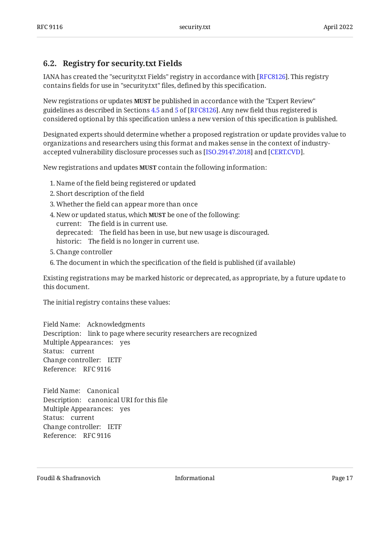#### <span id="page-16-0"></span>**[6.2. Registry for security.txt Fields](#page-16-0)**

IANA has created the "security.txt Fields" registry in accordance with [[RFC8126\]](#page-20-6). This registry contains fields for use in "security.txt" files, defined by this specification.

New registrations or updates **MUST** be published in accordance with the "Expert Review" guidelines as described in Sections  $4.5$  and  $5$  of [RFC8126]. Any new field thus registered is considered optional by this specification unless a new version of this specification is published.

Designated experts should determine whether a proposed registration or update provides value to organizations and researchers using this format and makes sense in the context of industryaccepted vulnerability disclosure processes such as [ISO.29147.2018] and [CERT.CVD].  $\,$ 

New registrations and updates **MUST** contain the following information:

- Name of the field being registered or updated 1.
- 2. Short description of the field
- Whether the field can appear more than once 3.
- current: The field is in current use. deprecated: The field has been in use, but new usage is discouraged. historic: The field is no longer in current use. 4. New or updated status, which **MUST** be one of the following:
- 5. Change controller
- 6. The document in which the specification of the field is published (if available)

Existing registrations may be marked historic or deprecated, as appropriate, by a future update to this document.

The initial registry contains these values:

Field Name: Acknowledgments Description: link to page where security researchers are recognized Multiple Appearances: yes Status: current Change controller: IETF Reference: RFC 9116

Field Name: Canonical Description: canonical URI for this file Multiple Appearances: yes Status: current Change controller: IETF Reference: RFC 9116

Foudil & Shafranovich **Informational** Informational Page 17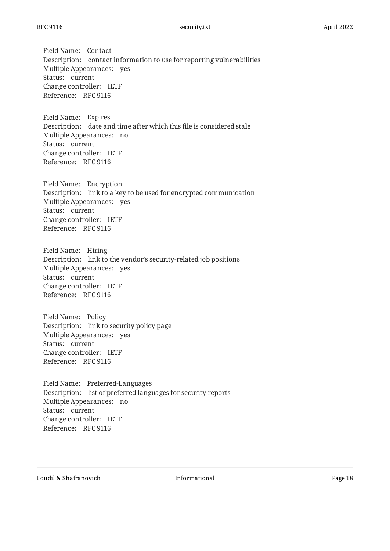Field Name: Contact Description: contact information to use for reporting vulnerabilities Multiple Appearances: yes Status: current Change controller: IETF Reference: RFC 9116

Field Name: Expires Description: date and time after which this file is considered stale Multiple Appearances: no Status: current Change controller: IETF Reference: RFC 9116

Field Name: Encryption Description: link to a key to be used for encrypted communication Multiple Appearances: yes Status: current Change controller: IETF Reference: RFC 9116

Field Name: Hiring Description: link to the vendor's security-related job positions Multiple Appearances: yes Status: current Change controller: IETF Reference: RFC 9116

Field Name: Policy Description: link to security policy page Multiple Appearances: yes Status: current Change controller: IETF Reference: RFC 9116

Field Name: Preferred-Languages Description: list of preferred languages for security reports Multiple Appearances: no Status: current Change controller: IETF Reference: RFC 9116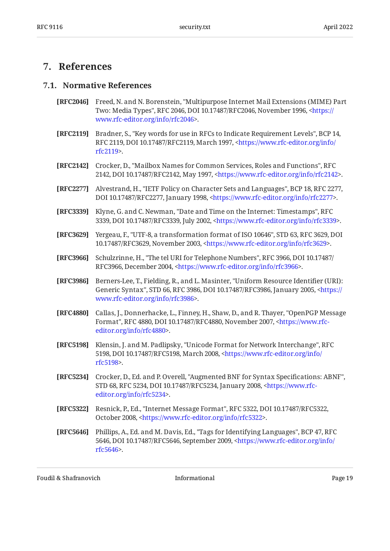## <span id="page-18-1"></span><span id="page-18-0"></span>**[7. References](#page-18-0)**

#### **[7.1. Normative References](#page-18-1)**

- <span id="page-18-12"></span>**[RFC2046]** Freed, N. and N. Borenstein, "Multipurpose Internet Mail Extensions (MIME) Part Two: Media Types", RFC 2046, DOI 10.17487/RFC2046, November 1996, <[https://](https://www.rfc-editor.org/info/rfc2046) . [www.rfc-editor.org/info/rfc2046>](https://www.rfc-editor.org/info/rfc2046)
- <span id="page-18-3"></span>**[RFC2119]** Bradner, S., "Key words for use in RFCs to Indicate Requirement Levels", BCP 14, RFC 2119, DOI 10.17487/RFC2119, March 1997, [<https://www.rfc-editor.org/info/](https://www.rfc-editor.org/info/rfc2119) . [rfc2119](https://www.rfc-editor.org/info/rfc2119)>
- <span id="page-18-2"></span>**[RFC2142]** Crocker, D., "Mailbox Names for Common Services, Roles and Functions", RFC 2142, DOI 10.17487/RFC2142, May 1997, <https://www.rfc-editor.org/info/rfc2142>.
- <span id="page-18-11"></span>**[RFC2277]** Alvestrand, H., "IETF Policy on Character Sets and Languages", BCP 18, RFC 2277, DOI 10.17487/RFC2277, January 1998, <https://www.rfc-editor.org/info/rfc2277>.
- <span id="page-18-9"></span>**[RFC3339]** Klyne, G. and C. Newman, "Date and Time on the Internet: Timestamps", RFC 3339, DOI 10.17487/RFC3339, July 2002, [<https://www.rfc-editor.org/info/rfc3339](https://www.rfc-editor.org/info/rfc3339)>.
- <span id="page-18-13"></span>**[RFC3629]** Yergeau, F., "UTF-8, a transformation format of ISO 10646", STD 63, RFC 3629, DOI 10.17487/RFC3629, November 2003, [<https://www.rfc-editor.org/info/rfc3629](https://www.rfc-editor.org/info/rfc3629)>.
- <span id="page-18-8"></span>**[RFC3966]** Schulzrinne, H., "The tel URI for Telephone Numbers", RFC 3966, DOI 10.17487/ RFC3966, December 2004, <https://www.rfc-editor.org/info/rfc3966>.
- <span id="page-18-6"></span>**[RFC3986]** Berners-Lee, T., Fielding, R., and L. Masinter, "Uniform Resource Identifier (URI): Generic Syntax", STD 66, RFC 3986, DOI 10.17487/RFC3986, January 2005, [<https://](https://www.rfc-editor.org/info/rfc3986) . [www.rfc-editor.org/info/rfc3986>](https://www.rfc-editor.org/info/rfc3986)
- <span id="page-18-7"></span>**[RFC4880]** Callas, J., Donnerhacke, L., Finney, H., Shaw, D., and R. Thayer, "OpenPGP Message Format", RFC 4880, DOI 10.17487/RFC4880, November 2007, [<https://www.rfc-](https://www.rfc-editor.org/info/rfc4880). [editor.org/info/rfc4880](https://www.rfc-editor.org/info/rfc4880)>
- <span id="page-18-14"></span>**[RFC5198]** Klensin, J. and M. Padlipsky, "Unicode Format for Network Interchange", RFC 5198, DOI 10.17487/RFC5198, March 2008, [<https://www.rfc-editor.org/info/](https://www.rfc-editor.org/info/rfc5198) . [rfc5198](https://www.rfc-editor.org/info/rfc5198)>
- <span id="page-18-5"></span>**[RFC5234]** Crocker, D., Ed. and P. Overell, "Augmented BNF for Syntax Specifications: ABNF", STD 68, RFC 5234, DOI 10.17487/RFC5234, January 2008, <[https://www.rfc-](https://www.rfc-editor.org/info/rfc5234). [editor.org/info/rfc5234](https://www.rfc-editor.org/info/rfc5234)>
- <span id="page-18-4"></span>**[RFC5322]** Resnick, P., Ed., "Internet Message Format", RFC 5322, DOI 10.17487/RFC5322, October 2008, <https://www.rfc-editor.org/info/rfc5322>.
- <span id="page-18-10"></span>**[RFC5646]** Phillips, A., Ed. and M. Davis, Ed., "Tags for Identifying Languages", BCP 47, RFC 5646, DOI 10.17487/RFC5646, September 2009, [<https://www.rfc-editor.org/info/](https://www.rfc-editor.org/info/rfc5646) . [rfc5646](https://www.rfc-editor.org/info/rfc5646)>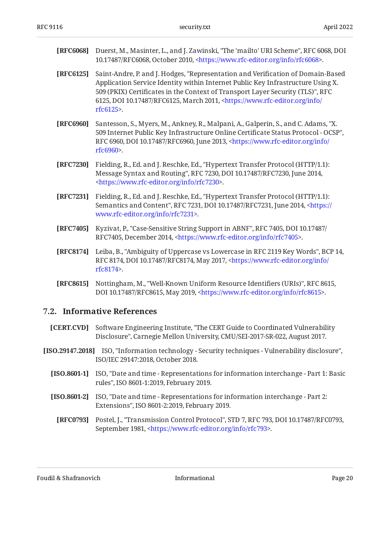<span id="page-19-6"></span>

| [RFC6068] Duerst, M., Masinter, L., and J. Zawinski, "The 'mailto' URI Scheme", RFC 6068, DOI |
|-----------------------------------------------------------------------------------------------|
| 10.17487/RFC6068, October 2010, <https: info="" rfc6068="" www.rfc-editor.org="">.</https:>   |

- <span id="page-19-12"></span>**[RFC6125]** Saint-Andre, P. and J. Hodges, "Representation and Verification of Domain-Based , 509 (PKIX) Certificates in the Context of Transport Layer Security (TLS)" RFC 6125, DOI 10.17487/RFC6125, March 2011, [<https://www.rfc-editor.org/info/](https://www.rfc-editor.org/info/rfc6125) . [rfc6125](https://www.rfc-editor.org/info/rfc6125)> Application Service Identity within Internet Public Key Infrastructure Using X.
- <span id="page-19-13"></span>**[RFC6960]** Santesson, S., Myers, M., Ankney, R., Malpani, A., Galperin, S., and C. Adams, "X. , 509 Internet Public Key Infrastructure Online Certificate Status Protocol - OCSP" RFC 6960, DOI 10.17487/RFC6960, June 2013, [<https://www.rfc-editor.org/info/](https://www.rfc-editor.org/info/rfc6960) . [rfc6960](https://www.rfc-editor.org/info/rfc6960)>
- <span id="page-19-5"></span>**[RFC7230]** Fielding, R., Ed. and J. Reschke, Ed., "Hypertext Transfer Protocol (HTTP/1.1): Message Syntax and Routing", RFC 7230, DOI 10.17487/RFC7230, June 2014, . [<https://www.rfc-editor.org/info/rfc7230](https://www.rfc-editor.org/info/rfc7230)>
- <span id="page-19-10"></span>**[RFC7231]** Fielding, R., Ed. and J. Reschke, Ed., "Hypertext Transfer Protocol (HTTP/1.1): Semantics and Content", RFC 7231, DOI 10.17487/RFC7231, June 2014, <[https://](https://www.rfc-editor.org/info/rfc7231) . [www.rfc-editor.org/info/rfc7231>](https://www.rfc-editor.org/info/rfc7231)
- <span id="page-19-11"></span>**[RFC7405]** Kyzivat, P., "Case-Sensitive String Support in ABNF", RFC 7405, DOI 10.17487/ RFC7405, December 2014, [<https://www.rfc-editor.org/info/rfc7405>](https://www.rfc-editor.org/info/rfc7405).
- <span id="page-19-3"></span>**[RFC8174]** Leiba, B., "Ambiguity of Uppercase vs Lowercase in RFC 2119 Key Words", BCP 14, RFC 8174, DOI 10.17487/RFC8174, May 2017, <[https://www.rfc-editor.org/info/](https://www.rfc-editor.org/info/rfc8174) . [rfc8174](https://www.rfc-editor.org/info/rfc8174)>
- <span id="page-19-9"></span>**[RFC8615]** Nottingham, M., "Well-Known Uniform Resource Identifiers (URIs)", RFC 8615, DOI 10.17487/RFC8615, May 2019, <https://www.rfc-editor.org/info/rfc8615>.

#### <span id="page-19-0"></span>**[7.2. Informative References](#page-19-0)**

- <span id="page-19-2"></span>**[CERT.CVD]** , Software Engineering Institute "The CERT Guide to Coordinated Vulnerability Disclosure", Carnegie Mellon University, CMU/SEI-2017-SR-022, August 2017.
- <span id="page-19-8"></span><span id="page-19-7"></span><span id="page-19-4"></span><span id="page-19-1"></span>**[ISO.29147.2018]** ISO, "Information technology - Security techniques - Vulnerability disclosure", ISO/IEC 29147:2018, October 2018.
	- **[ISO.8601-1]** ISO, "Date and time Representations for information interchange Part 1: Basic rules", ISO 8601-1:2019, February 2019.
	- **[ISO.8601-2]** ISO, "Date and time Representations for information interchange Part 2: Extensions", ISO 8601-2:2019, February 2019.
		- **[RFC0793]** Postel, J., "Transmission Control Protocol", STD 7, RFC 793, DOI 10.17487/RFC0793, September 1981, <https://www.rfc-editor.org/info/rfc793>.